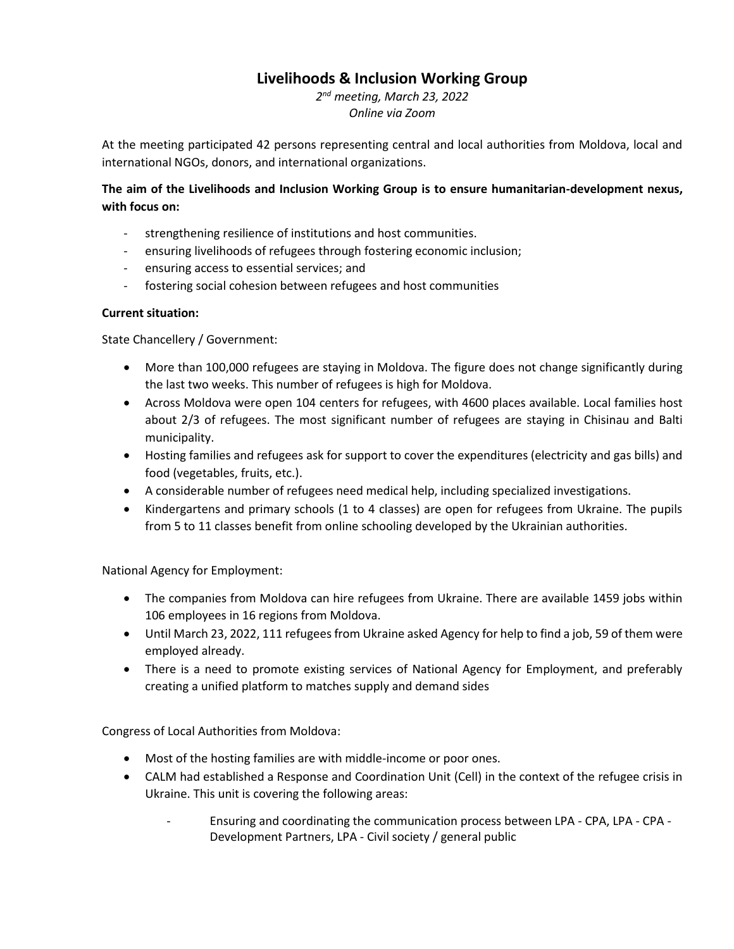# **Livelihoods & Inclusion Working Group**

*2 nd meeting, March 23, 2022 Online via Zoom*

At the meeting participated 42 persons representing central and local authorities from Moldova, local and international NGOs, donors, and international organizations.

## **The aim of the Livelihoods and Inclusion Working Group is to ensure humanitarian-development nexus, with focus on:**

- strengthening resilience of institutions and host communities.
- ensuring livelihoods of refugees through fostering economic inclusion;
- ensuring access to essential services; and
- fostering social cohesion between refugees and host communities

### **Current situation:**

State Chancellery / Government:

- More than 100,000 refugees are staying in Moldova. The figure does not change significantly during the last two weeks. This number of refugees is high for Moldova.
- Across Moldova were open 104 centers for refugees, with 4600 places available. Local families host about 2/3 of refugees. The most significant number of refugees are staying in Chisinau and Balti municipality.
- Hosting families and refugees ask for support to cover the expenditures (electricity and gas bills) and food (vegetables, fruits, etc.).
- A considerable number of refugees need medical help, including specialized investigations.
- Kindergartens and primary schools (1 to 4 classes) are open for refugees from Ukraine. The pupils from 5 to 11 classes benefit from online schooling developed by the Ukrainian authorities.

National Agency for Employment:

- The companies from Moldova can hire refugees from Ukraine. There are available 1459 jobs within 106 employees in 16 regions from Moldova.
- Until March 23, 2022, 111 refugees from Ukraine asked Agency for help to find a job, 59 of them were employed already.
- There is a need to promote existing services of National Agency for Employment, and preferably creating a unified platform to matches supply and demand sides

Congress of Local Authorities from Moldova:

- Most of the hosting families are with middle-income or poor ones.
- CALM had established a Response and Coordination Unit (Cell) in the context of the refugee crisis in Ukraine. This unit is covering the following areas:
	- Ensuring and coordinating the communication process between LPA CPA, LPA CPA Development Partners, LPA - Civil society / general public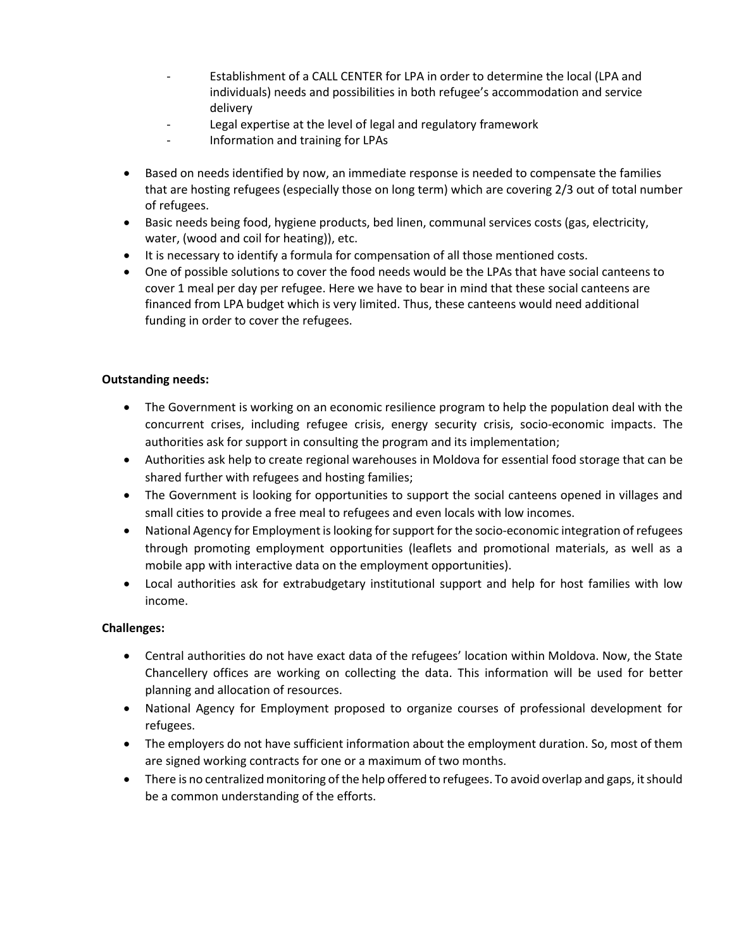- Establishment of a CALL CENTER for LPA in order to determine the local (LPA and individuals) needs and possibilities in both refugee's accommodation and service delivery
- Legal expertise at the level of legal and regulatory framework
- Information and training for LPAs
- Based on needs identified by now, an immediate response is needed to compensate the families that are hosting refugees (especially those on long term) which are covering 2/3 out of total number of refugees.
- Basic needs being food, hygiene products, bed linen, communal services costs (gas, electricity, water, (wood and coil for heating)), etc.
- It is necessary to identify a formula for compensation of all those mentioned costs.
- One of possible solutions to cover the food needs would be the LPAs that have social canteens to cover 1 meal per day per refugee. Here we have to bear in mind that these social canteens are financed from LPA budget which is very limited. Thus, these canteens would need additional funding in order to cover the refugees.

### **Outstanding needs:**

- The Government is working on an economic resilience program to help the population deal with the concurrent crises, including refugee crisis, energy security crisis, socio-economic impacts. The authorities ask for support in consulting the program and its implementation;
- Authorities ask help to create regional warehouses in Moldova for essential food storage that can be shared further with refugees and hosting families;
- The Government is looking for opportunities to support the social canteens opened in villages and small cities to provide a free meal to refugees and even locals with low incomes.
- National Agency for Employment is looking for support for the socio-economic integration of refugees through promoting employment opportunities (leaflets and promotional materials, as well as a mobile app with interactive data on the employment opportunities).
- Local authorities ask for extrabudgetary institutional support and help for host families with low income.

#### **Challenges:**

- Central authorities do not have exact data of the refugees' location within Moldova. Now, the State Chancellery offices are working on collecting the data. This information will be used for better planning and allocation of resources.
- National Agency for Employment proposed to organize courses of professional development for refugees.
- The employers do not have sufficient information about the employment duration. So, most of them are signed working contracts for one or a maximum of two months.
- There is no centralized monitoring of the help offered to refugees. To avoid overlap and gaps, it should be a common understanding of the efforts.